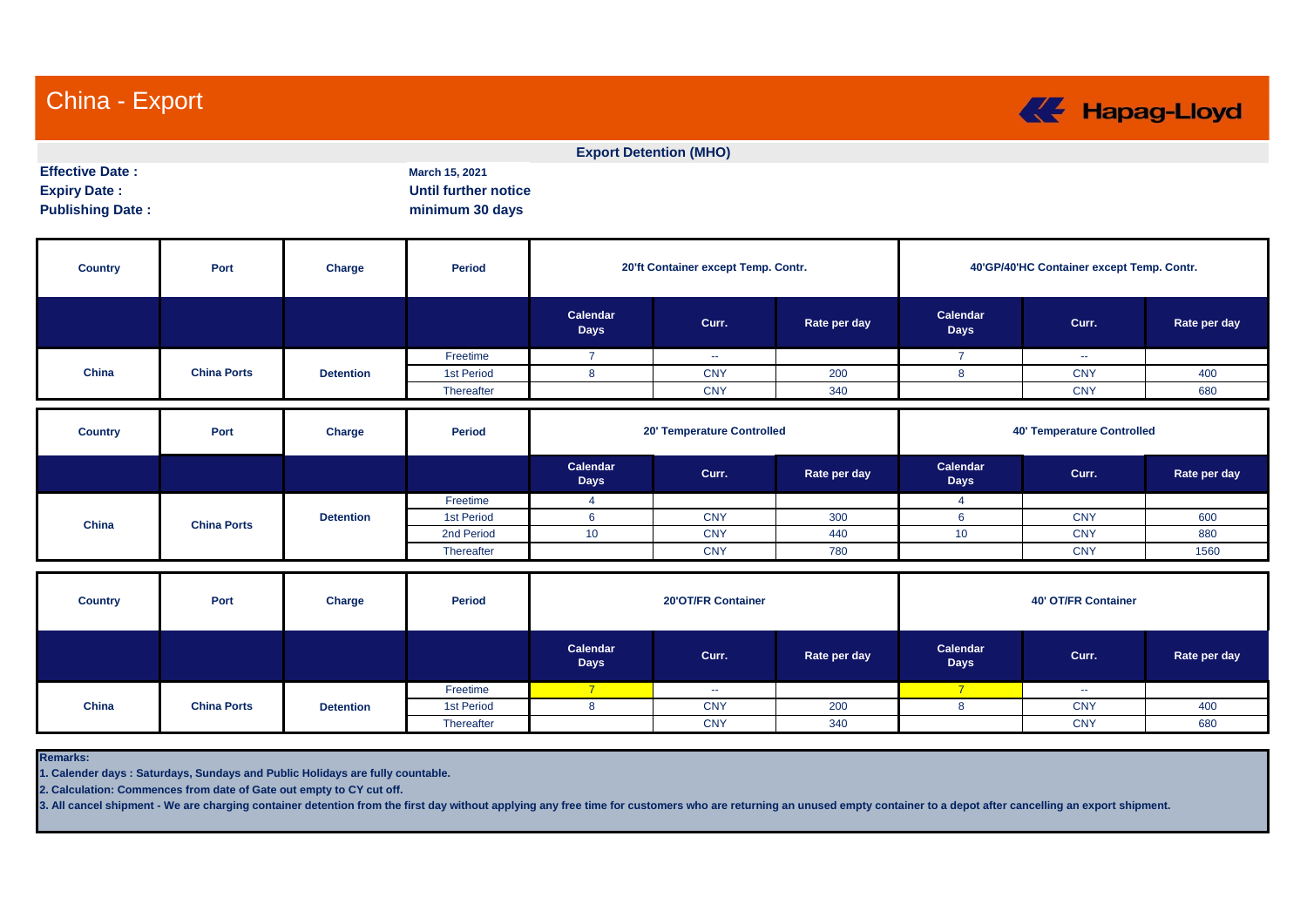China - Export



|                                                                          |                    |                  |                                                                  |                         | <b>Export Detention (MHO)</b>       |              |                                           |            |              |  |  |
|--------------------------------------------------------------------------|--------------------|------------------|------------------------------------------------------------------|-------------------------|-------------------------------------|--------------|-------------------------------------------|------------|--------------|--|--|
| <b>Effective Date:</b><br><b>Expiry Date:</b><br><b>Publishing Date:</b> |                    |                  | March 15, 2021<br><b>Until further notice</b><br>minimum 30 days |                         |                                     |              |                                           |            |              |  |  |
| <b>Country</b>                                                           | Port               | Charge           | <b>Period</b>                                                    |                         | 20'ft Container except Temp. Contr. |              | 40'GP/40'HC Container except Temp. Contr. |            |              |  |  |
|                                                                          |                    |                  |                                                                  | Calendar<br><b>Days</b> | Curr.                               | Rate per day | Calendar<br><b>Days</b>                   | Curr.      | Rate per day |  |  |
|                                                                          |                    |                  | Freetime                                                         | $\overline{7}$          | $\sim$                              |              | $\overline{7}$                            | $\sim$     |              |  |  |
| China                                                                    | <b>China Ports</b> | <b>Detention</b> | 1st Period                                                       | 8                       | <b>CNY</b>                          | 200          | 8                                         | <b>CNY</b> | 400          |  |  |
|                                                                          |                    |                  | Thereafter                                                       |                         | <b>CNY</b>                          | 340          |                                           | <b>CNY</b> | 680          |  |  |
| <b>Country</b>                                                           | Port               | Charge           | <b>Period</b>                                                    |                         | 20' Temperature Controlled          |              | <b>40' Temperature Controlled</b>         |            |              |  |  |
|                                                                          |                    |                  |                                                                  | Calendar<br><b>Days</b> | Curr.                               | Rate per day | Calendar<br><b>Days</b>                   | Curr.      | Rate per day |  |  |
|                                                                          |                    |                  | Freetime                                                         | $\overline{4}$          |                                     |              | $\overline{4}$                            |            |              |  |  |
| China                                                                    | <b>China Ports</b> | <b>Detention</b> | 1st Period                                                       | 6                       | <b>CNY</b>                          | 300          | 6                                         | <b>CNY</b> | 600          |  |  |
|                                                                          |                    |                  | 2nd Period                                                       | 10                      | <b>CNY</b>                          | 440          | 10                                        | <b>CNY</b> | 880          |  |  |
|                                                                          |                    |                  | Thereafter                                                       |                         | <b>CNY</b>                          | 780          |                                           | <b>CNY</b> | 1560         |  |  |
| <b>Country</b>                                                           | Port               | Charge           | <b>Period</b>                                                    |                         | 20'OT/FR Container                  |              | <b>40' OT/FR Container</b>                |            |              |  |  |
|                                                                          |                    |                  |                                                                  | Calendar<br><b>Days</b> | Curr.                               | Rate per day | Calendar<br><b>Days</b>                   | Curr.      | Rate per day |  |  |
|                                                                          |                    |                  | Freetime                                                         | $\overline{7}$          | $\sim$                              |              | $\overline{7}$                            | $\sim$     |              |  |  |
| China                                                                    | <b>China Ports</b> | <b>Detention</b> | 1st Period                                                       | 8                       | <b>CNY</b>                          | 200          | 8                                         | <b>CNY</b> | 400          |  |  |
|                                                                          |                    |                  | Thereafter                                                       |                         | <b>CNY</b>                          | 340          |                                           | <b>CNY</b> | 680          |  |  |

**Remarks:**

**1. Calender days : Saturdays, Sundays and Public Holidays are fully countable.**

**2. Calculation: Commences from date of Gate out empty to CY cut off.**

**3. All cancel shipment - We are charging container detention from the first day without applying any free time for customers who are returning an unused empty container to a depot after cancelling an export shipment.**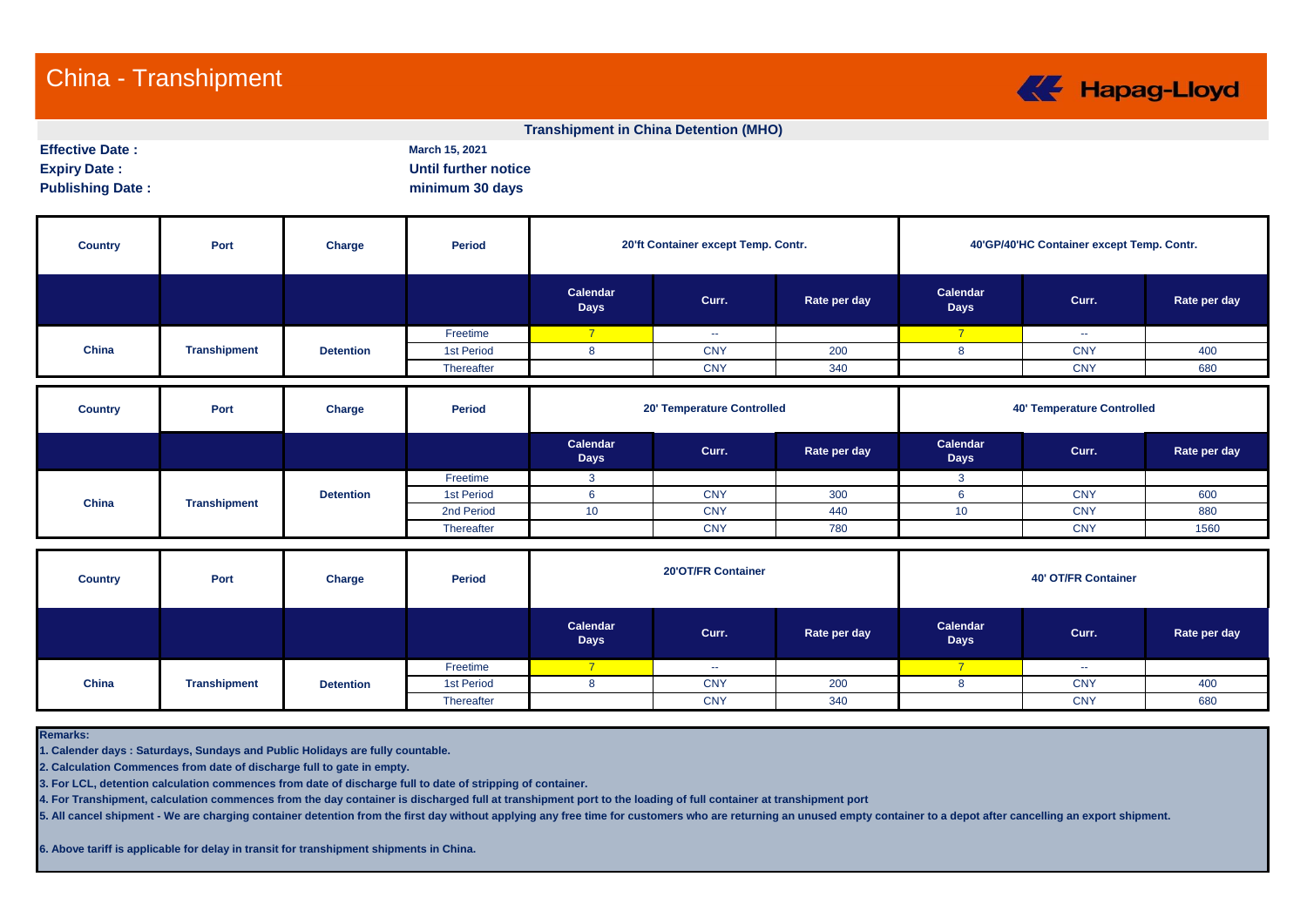## China - Transhipment



## **Transhipment in China Detention (MHO)**

**Effective Date : March 15, 2021 Expiry Date :** Until further notice

**Publishing Date : minimum 30 days** 

| <b>Country</b> | Port                | <b>Charge</b>    | <b>Period</b> |                         | 20'ft Container except Temp. Contr. |              | 40'GP/40'HC Container except Temp. Contr. |                                   |              |  |  |  |
|----------------|---------------------|------------------|---------------|-------------------------|-------------------------------------|--------------|-------------------------------------------|-----------------------------------|--------------|--|--|--|
|                |                     |                  |               | Calendar<br><b>Days</b> | Curr.                               | Rate per day | Calendar<br><b>Days</b>                   | Curr.                             | Rate per day |  |  |  |
|                |                     |                  | Freetime      | $\overline{7}$          | $\sim$                              |              | $\overline{7}$                            | $\sim$ $\sim$                     |              |  |  |  |
| China          | <b>Transhipment</b> | <b>Detention</b> | 1st Period    | 8                       | <b>CNY</b>                          | 200          | 8                                         | <b>CNY</b>                        | 400          |  |  |  |
|                |                     |                  | Thereafter    |                         | <b>CNY</b>                          | 340          |                                           | <b>CNY</b>                        | 680          |  |  |  |
|                |                     |                  |               |                         |                                     |              |                                           |                                   |              |  |  |  |
| <b>Country</b> | Port                | Charge           | <b>Period</b> |                         | 20' Temperature Controlled          |              |                                           | <b>40' Temperature Controlled</b> |              |  |  |  |
|                |                     |                  |               | Calendar<br><b>Days</b> | Curr.                               | Rate per day | Calendar<br><b>Days</b>                   | Curr.                             | Rate per day |  |  |  |
|                |                     |                  | Freetime      | 3                       |                                     |              | 3 <sup>1</sup>                            |                                   |              |  |  |  |
|                |                     | <b>Detention</b> | 1st Period    | 6                       | <b>CNY</b>                          | 300          | 6                                         | <b>CNY</b>                        | 600          |  |  |  |
| China          | <b>Transhipment</b> |                  | 2nd Period    | 10                      | <b>CNY</b>                          | 440          | 10 <sup>°</sup>                           | <b>CNY</b>                        | 880          |  |  |  |

| <b>Country</b> | Port                | Charge           | Period     |                         | 20'OT/FR Container |              | <b>40' OT/FR Container</b> |               |              |  |  |  |
|----------------|---------------------|------------------|------------|-------------------------|--------------------|--------------|----------------------------|---------------|--------------|--|--|--|
|                |                     |                  |            | Calendar<br><b>Days</b> | Curr.              | Rate per day | Calendar<br>Days           | Curr.         | Rate per day |  |  |  |
|                |                     |                  | Freetime   |                         | $\sim$ $\sim$      |              |                            | $\sim$ $\sim$ |              |  |  |  |
| China          | <b>Transhipment</b> | <b>Detention</b> | 1st Period |                         | <b>CNY</b>         | 200          |                            | <b>CNY</b>    | 400          |  |  |  |
|                |                     |                  | Thereafter |                         | <b>CNY</b>         | 340          |                            | <b>CNY</b>    | 680          |  |  |  |

**Remarks:**

**1. Calender days : Saturdays, Sundays and Public Holidays are fully countable.**

**2. Calculation Commences from date of discharge full to gate in empty.**

**3. For LCL, detention calculation commences from date of discharge full to date of stripping of container.** 

**4. For Transhipment, calculation commences from the day container is discharged full at transhipment port to the loading of full container at transhipment port**

**5. All cancel shipment - We are charging container detention from the first day without applying any free time for customers who are returning an unused empty container to a depot after cancelling an export shipment.**

**6. Above tariff is applicable for delay in transit for transhipment shipments in China.**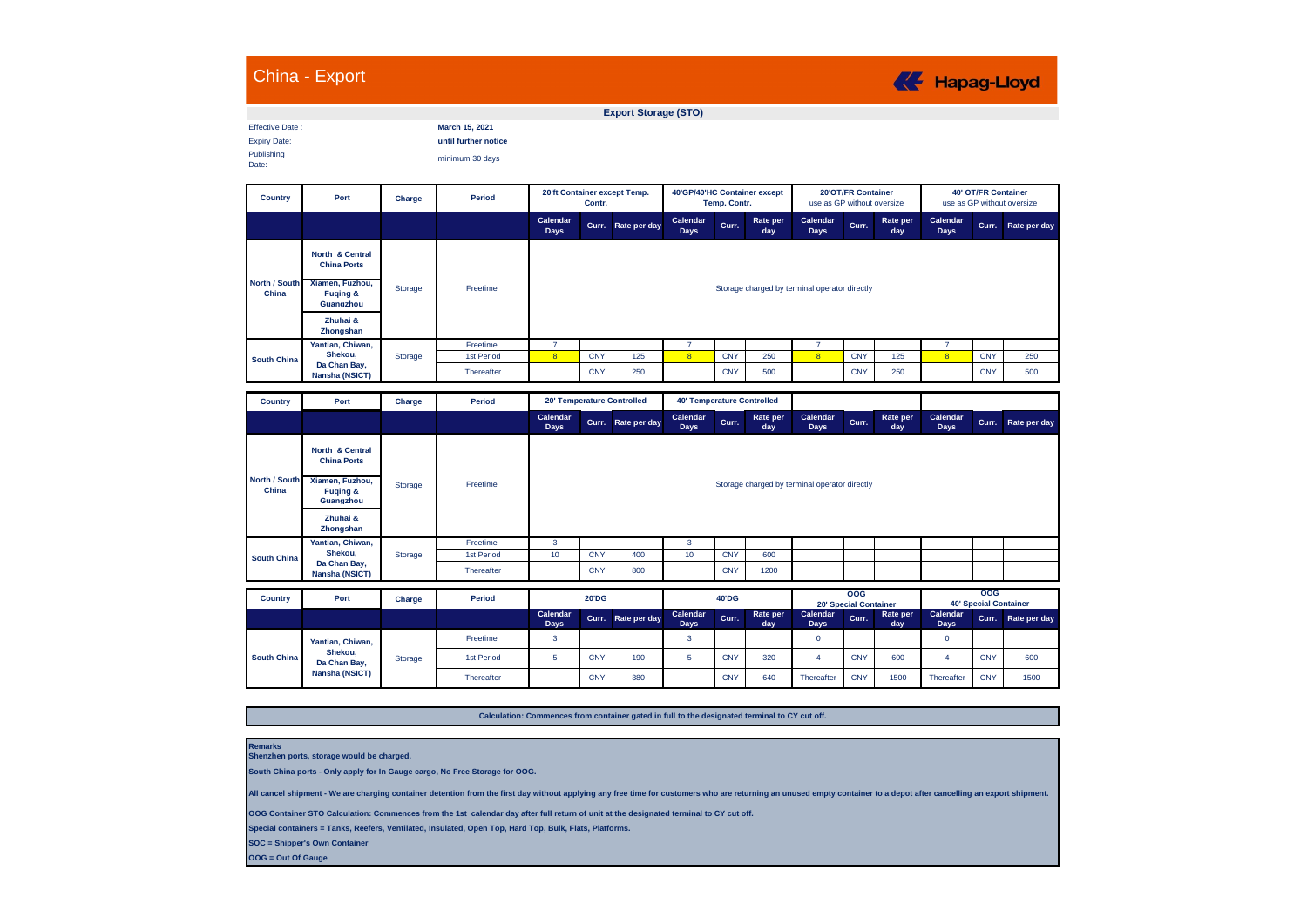|                                                             | China - Export                                                                  |         |                                                           | <b>KE</b> Hapag-Lloyd                         |              |                             |                                              |            |                 |                                                  |            |                 |                                                          |            |              |
|-------------------------------------------------------------|---------------------------------------------------------------------------------|---------|-----------------------------------------------------------|-----------------------------------------------|--------------|-----------------------------|----------------------------------------------|------------|-----------------|--------------------------------------------------|------------|-----------------|----------------------------------------------------------|------------|--------------|
|                                                             |                                                                                 |         |                                                           |                                               |              | <b>Export Storage (STO)</b> |                                              |            |                 |                                                  |            |                 |                                                          |            |              |
| <b>Effective Date:</b><br><b>Expiry Date:</b><br>Publishing |                                                                                 |         | March 15, 2021<br>until further notice<br>minimum 30 days |                                               |              |                             |                                              |            |                 |                                                  |            |                 |                                                          |            |              |
| Date:                                                       |                                                                                 |         |                                                           |                                               |              |                             |                                              |            |                 |                                                  |            |                 |                                                          |            |              |
| Country                                                     | Port                                                                            | Charge  | Period                                                    | 20'ft Container except Temp.<br>Contr.        |              |                             | 40'GP/40'HC Container except<br>Temp. Contr. |            |                 | 20'OT/FR Container<br>use as GP without oversize |            |                 | <b>40' OT/FR Container</b><br>use as GP without oversize |            |              |
|                                                             |                                                                                 |         |                                                           | Calendar<br><b>Days</b>                       | Curr.        | Rate per day                | Calendar<br>Days                             | Curr.      | Rate per<br>day | Calendar<br>Days                                 | Curr.      | Rate per<br>day | Calendar<br>Days                                         | Curr.      | Rate per day |
|                                                             | North & Central<br><b>China Ports</b>                                           |         |                                                           |                                               |              |                             |                                              |            |                 |                                                  |            |                 |                                                          |            |              |
| North / South<br>China                                      | Xiamen, Fuzhou,<br><b>Fuging &amp;</b><br>Guangzhou                             | Storage | Freetime                                                  | Storage charged by terminal operator directly |              |                             |                                              |            |                 |                                                  |            |                 |                                                          |            |              |
|                                                             | Zhuhai &<br>Zhongshan                                                           |         |                                                           |                                               |              |                             |                                              |            |                 |                                                  |            |                 |                                                          |            |              |
|                                                             | Yantian, Chiwan,                                                                |         | Freetime                                                  | 7                                             |              |                             | 7                                            |            |                 | $\overline{7}$                                   |            |                 | 7                                                        |            |              |
| <b>South China</b>                                          | Shekou,<br>Da Chan Bay,                                                         | Storage | 1st Period                                                | $\overline{\mathbf{8}}$                       | <b>CNY</b>   | 125                         | $\overline{\mathbf{8}}$                      | <b>CNY</b> | 250             | $\overline{\mathbf{8}}$                          | <b>CNY</b> | 125             | $\overline{8}$                                           | <b>CNY</b> | 250          |
|                                                             | Nansha (NSICT)                                                                  |         | Thereafter                                                |                                               | <b>CNY</b>   | 250                         |                                              | <b>CNY</b> | 500             |                                                  | <b>CNY</b> | 250             |                                                          | <b>CNY</b> | 500          |
| Country                                                     | Port                                                                            | Charge  | <b>Period</b>                                             |                                               |              | 20' Temperature Controlled  | <b>40' Temperature Controlled</b>            |            |                 |                                                  |            |                 |                                                          |            |              |
|                                                             |                                                                                 |         |                                                           | Calendar<br>Days                              |              | Curr. Rate per day          | Calendar<br>Days                             | Curr.      | Rate per<br>day | Calendar<br><b>Days</b>                          | Curr.      | Rate per<br>day | Calendar<br>Days                                         | Curr.      | Rate per day |
| North / South<br>China                                      | North & Central<br><b>China Ports</b><br>Xiamen, Fuzhou,<br><b>Fuging &amp;</b> | Storage | Freetime                                                  |                                               |              |                             |                                              |            |                 | Storage charged by terminal operator directly    |            |                 |                                                          |            |              |
|                                                             | Guangzhou                                                                       |         |                                                           |                                               |              |                             |                                              |            |                 |                                                  |            |                 |                                                          |            |              |
|                                                             | Zhuhai &<br>Zhongshan                                                           |         |                                                           |                                               |              |                             |                                              |            |                 |                                                  |            |                 |                                                          |            |              |
|                                                             | Yantian, Chiwan,<br>Shekou,                                                     |         | Freetime                                                  | $\mathbf{3}$                                  |              |                             | $\mathbf{3}$                                 |            |                 |                                                  |            |                 |                                                          |            |              |
| <b>South China</b>                                          | Da Chan Bay,                                                                    | Storage | 1st Period                                                | 10                                            | <b>CNY</b>   | 400                         | 10                                           | <b>CNY</b> | 600             |                                                  |            |                 |                                                          |            |              |
|                                                             | Nansha (NSICT)                                                                  |         | Thereafter                                                |                                               | <b>CNY</b>   | 800                         |                                              | <b>CNY</b> | 1200            |                                                  |            |                 |                                                          |            |              |
| Country                                                     | Port                                                                            | Charge  | <b>Period</b>                                             |                                               | <b>20'DG</b> |                             | 40'DG                                        |            |                 | 00 <sub>G</sub><br>20' Special Container         |            |                 | <b>OOG</b><br><b>40' Special Container</b>               |            |              |
|                                                             |                                                                                 |         |                                                           | Calendar<br>Days                              | Curr.        | Rate per day                | Calendar<br>Days                             | Curr.      | Rate per<br>day | Calendar<br><b>Days</b>                          | Curr.      | Rate per<br>day | Calendar<br>Days                                         | Curr.      | Rate per day |
|                                                             | Yantian, Chiwan,                                                                |         | Freetime                                                  | $\mathbf{3}$                                  |              |                             | $\mathbf{3}$                                 |            |                 | $\mathbf 0$                                      |            |                 | $\mathbf{0}$                                             |            |              |
| <b>South China</b>                                          | Shekou,<br>Da Chan Bay,                                                         | Storage | 1st Period                                                | 5                                             | <b>CNY</b>   | 190                         | 5                                            | <b>CNY</b> | 320             | $\overline{4}$                                   | <b>CNY</b> | 600             | $\overline{4}$                                           | <b>CNY</b> | 600          |
|                                                             | Nansha (NSICT)                                                                  |         | Thereafter                                                |                                               | <b>CNY</b>   | 380                         |                                              | <b>CNY</b> | 640             | Thereafter                                       | <b>CNY</b> | 1500            | Thereafter                                               | <b>CNY</b> | 1500         |

**Calculation: Commences from container gated in full to the designated terminal to CY cut off.**

**Remarks Shenzhen ports, storage would be charged.**

**South China ports - Only apply for In Gauge cargo, No Free Storage for OOG.**

**All cancel shipment - We are charging container detention from the first day without applying any free time for customers who are returning an unused empty container to a depot after cancelling an export shipment.**

**OOG Container STO Calculation: Commences from the 1st calendar day after full return of unit at the designated terminal to CY cut off.**

**Special containers = Tanks, Reefers, Ventilated, Insulated, Open Top, Hard Top, Bulk, Flats, Platforms.**

**SOC = Shipper's Own Container**

**OOG = Out Of Gauge**